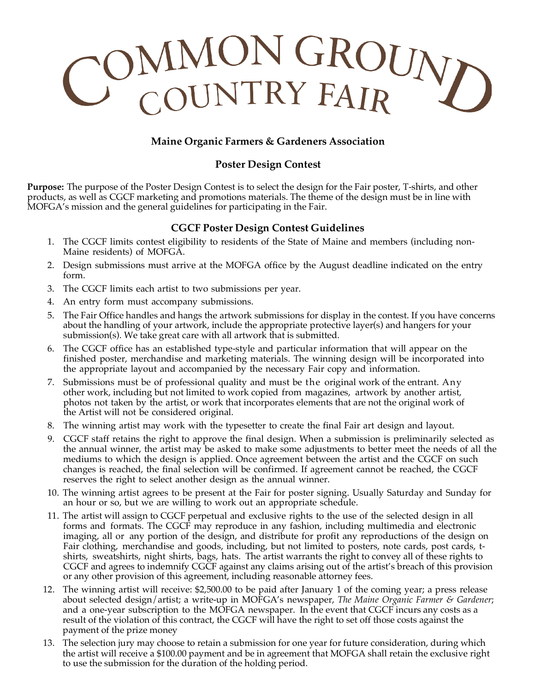# COMMON GROUND

## **Maine Organic Farmers & Gardeners Association**

### **Poster Design Contest**

**Purpose:** The purpose of the Poster Design Contest is to select the design for the Fair poster, T-shirts, and other products, as well as CGCF marketing and promotions materials. The theme of the design must be in line with MOFGA's mission and the general guidelines for participating in the Fair.

### **CGCF Poster Design Contest Guidelines**

- 1. The CGCF limits contest eligibility to residents of the State of Maine and members (including non-Maine residents) of MOFGA.
- 2. Design submissions must arrive at the MOFGA office by the August deadline indicated on the entry form.
- 3. The CGCF limits each artist to two submissions per year.
- 4. An entry form must accompany submissions.
- 5. The Fair Office handles and hangs the artwork submissions for display in the contest. If you have concerns about the handling of your artwork, include the appropriate protective layer(s) and hangers for your submission(s). We take great care with all artwork that is submitted.
- 6. The CGCF office has an established type-style and particular information that will appear on the finished poster, merchandise and marketing materials. The winning design will be incorporated into the appropriate layout and accompanied by the necessary Fair copy and information.
- Submissions must be of professional quality and must be the original work of the entrant. Any other work, including but not limited to work copied from magazines, artwork by another artist, photos not taken by the artist, or work that incorporates elements that are not the original work of the Artist will not be considered original.
- 8. The winning artist may work with the typesetter to create the final Fair art design and layout.
- 9. CGCF staff retains the right to approve the final design. When a submission is preliminarily selected as the annual winner, the artist may be asked to make some adjustments to better meet the needs of all the mediums to which the design is applied. Once agreement between the artist and the CGCF on such changes is reached, the final selection will be confirmed. If agreement cannot be reached, the CGCF reserves the right to select another design as the annual winner.
- 10. The winning artist agrees to be present at the Fair for poster signing. Usually Saturday and Sunday for an hour or so, but we are willing to work out an appropriate schedule.
- 11. The artist will assign to CGCF perpetual and exclusive rights to the use of the selected design in all forms and formats. The CGCF may reproduce in any fashion, including multimedia and electronic imaging, all or any portion of the design, and distribute for profit any reproductions of the design on Fair clothing, merchandise and goods, including, but not limited to posters, note cards, post cards, tshirts, sweatshirts, night shirts, bags, hats. The artist warrants the right to convey all of these rights to CGCF and agrees to indemnify CGCF against any claims arising out of the artist's breach of this provision or any other provision of this agreement, including reasonable attorney fees.
- 12. The winning artist will receive: \$2,500.00 to be paid after January 1 of the coming year; a press release about selected design/artist; a write-up in MOFGA's newspaper, *The Maine Organic Farmer & Gardener*; and a one-year subscription to the MOFGA newspaper. In the event that CGCF incurs any costs as a result of the violation of this contract, the CGCF will have the right to set off those costs against the payment of the prize money
- 13. The selection jury may choose to retain a submission for one year for future consideration, during which the artist will receive a \$100.00 payment and be in agreement that MOFGA shall retain the exclusive right to use the submission for the duration of the holding period.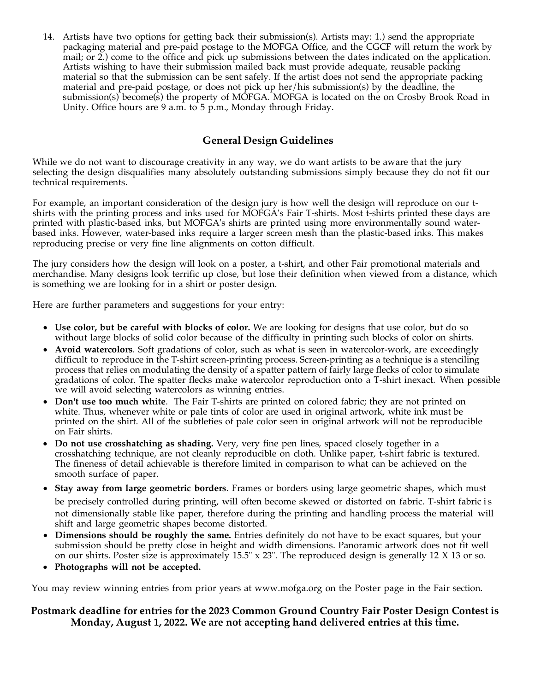14. Artists have two options for getting back their submission(s). Artists may: 1.) send the appropriate packaging material and pre-paid postage to the MOFGA Office, and the CGCF will return the work by mail; or 2.) come to the office and pick up submissions between the dates indicated on the application. Artists wishing to have their submission mailed back must provide adequate, reusable packing material so that the submission can be sent safely. If the artist does not send the appropriate packing material and pre-paid postage, or does not pick up her/his submission(s) by the deadline, the submission(s) become(s) the property of MOFGA. MOFGA is located on the on Crosby Brook Road in Unity. Office hours are 9 a.m. to 5 p.m., Monday through Friday.

### **General Design Guidelines**

While we do not want to discourage creativity in any way, we do want artists to be aware that the jury selecting the design disqualifies many absolutely outstanding submissions simply because they do not fit our technical requirements.

For example, an important consideration of the design jury is how well the design will reproduce on our tshirts with the printing process and inks used for MOFGA's Fair T-shirts. Most t-shirts printed these days are printed with plastic-based inks, but MOFGA's shirts are printed using more environmentally sound waterbased inks. However, water-based inks require a larger screen mesh than the plastic-based inks. This makes reproducing precise or very fine line alignments on cotton difficult.

The jury considers how the design will look on a poster, a t-shirt, and other Fair promotional materials and merchandise. Many designs look terrific up close, but lose their definition when viewed from a distance, which is something we are looking for in a shirt or poster design.

Here are further parameters and suggestions for your entry:

- **Use color, but be careful with blocks of color.** We are looking for designs that use color, but do so without large blocks of solid color because of the difficulty in printing such blocks of color on shirts.
- **Avoid watercolors**. Soft gradations of color, such as what is seen in watercolor-work, are exceedingly difficult to reproduce in the T-shirt screen-printing process. Screen-printing as a technique is a stenciling process that relies on modulating the density of a spatter pattern of fairly large flecks of color to simulate gradations of color. The spatter flecks make watercolor reproduction onto a T-shirt inexact. When possible we will avoid selecting watercolors as winning entries.
- **Don't use too much white**. The Fair T-shirts are printed on colored fabric; they are not printed on white. Thus, whenever white or pale tints of color are used in original artwork, white ink must be printed on the shirt. All of the subtleties of pale color seen in original artwork will not be reproducible on Fair shirts.
- **Do not use crosshatching as shading.** Very, very fine pen lines, spaced closely together in a crosshatching technique, are not cleanly reproducible on cloth. Unlike paper, t-shirt fabric is textured. The fineness of detail achievable is therefore limited in comparison to what can be achieved on the smooth surface of paper.
- **Stay away from large geometric borders**. Frames or borders using large geometric shapes, which must be precisely controlled during printing, will often become skewed or distorted on fabric. T-shirt fabric i s not dimensionally stable like paper, therefore during the printing and handling process the material will shift and large geometric shapes become distorted.
- **Dimensions should be roughly the same.** Entries definitely do not have to be exact squares, but your submission should be pretty close in height and width dimensions. Panoramic artwork does not fit well on our shirts. Poster size is approximately  $15.5" \times 23"$ . The reproduced design is generally 12 X 13 or so.
- **Photographs will not be accepted.**

You may review winning entries from prior years at www.mofga.org on the Poster page in the Fair section.

### **Postmark deadline for entries for the 2023 Common Ground Country Fair Poster Design Contest is Monday, August 1, 2022. We are not accepting hand delivered entries at this time.**